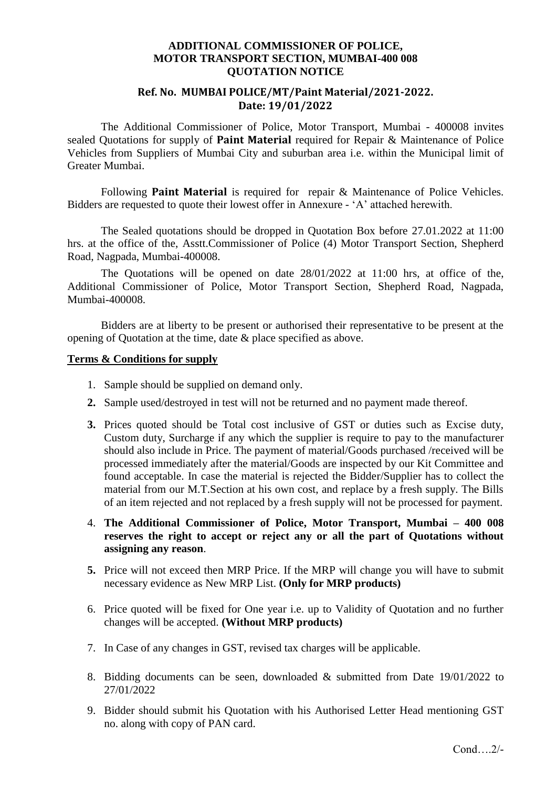#### **ADDITIONAL COMMISSIONER OF POLICE, MOTOR TRANSPORT SECTION, MUMBAI-400 008 QUOTATION NOTICE**

### **Ref. No. MUMBAI POLICE/MT/Paint Material/2021-2022. Date: 19/01/2022**

The Additional Commissioner of Police, Motor Transport, Mumbai - 400008 invites sealed Quotations for supply of **Paint Material** required for Repair & Maintenance of Police Vehicles from Suppliers of Mumbai City and suburban area i.e. within the Municipal limit of Greater Mumbai.

Following **Paint Material** is required for repair & Maintenance of Police Vehicles. Bidders are requested to quote their lowest offer in Annexure - 'A' attached herewith.

The Sealed quotations should be dropped in Quotation Box before 27.01.2022 at 11:00 hrs. at the office of the, Asstt.Commissioner of Police (4) Motor Transport Section, Shepherd Road, Nagpada, Mumbai-400008.

The Quotations will be opened on date 28/01/2022 at 11:00 hrs, at office of the, Additional Commissioner of Police, Motor Transport Section, Shepherd Road, Nagpada, Mumbai-400008.

Bidders are at liberty to be present or authorised their representative to be present at the opening of Quotation at the time, date & place specified as above.

#### **Terms & Conditions for supply**

- 1. Sample should be supplied on demand only.
- **2.** Sample used/destroyed in test will not be returned and no payment made thereof.
- **3.** Prices quoted should be Total cost inclusive of GST or duties such as Excise duty, Custom duty, Surcharge if any which the supplier is require to pay to the manufacturer should also include in Price. The payment of material/Goods purchased /received will be processed immediately after the material/Goods are inspected by our Kit Committee and found acceptable. In case the material is rejected the Bidder/Supplier has to collect the material from our M.T.Section at his own cost, and replace by a fresh supply. The Bills of an item rejected and not replaced by a fresh supply will not be processed for payment.
- 4. **The Additional Commissioner of Police, Motor Transport, Mumbai – 400 008 reserves the right to accept or reject any or all the part of Quotations without assigning any reason**.
- **5.** Price will not exceed then MRP Price. If the MRP will change you will have to submit necessary evidence as New MRP List. **(Only for MRP products)**
- 6. Price quoted will be fixed for One year i.e. up to Validity of Quotation and no further changes will be accepted. **(Without MRP products)**
- 7. In Case of any changes in GST, revised tax charges will be applicable.
- 8. Bidding documents can be seen, downloaded & submitted from Date 19/01/2022 to 27/01/2022
- 9. Bidder should submit his Quotation with his Authorised Letter Head mentioning GST no. along with copy of PAN card.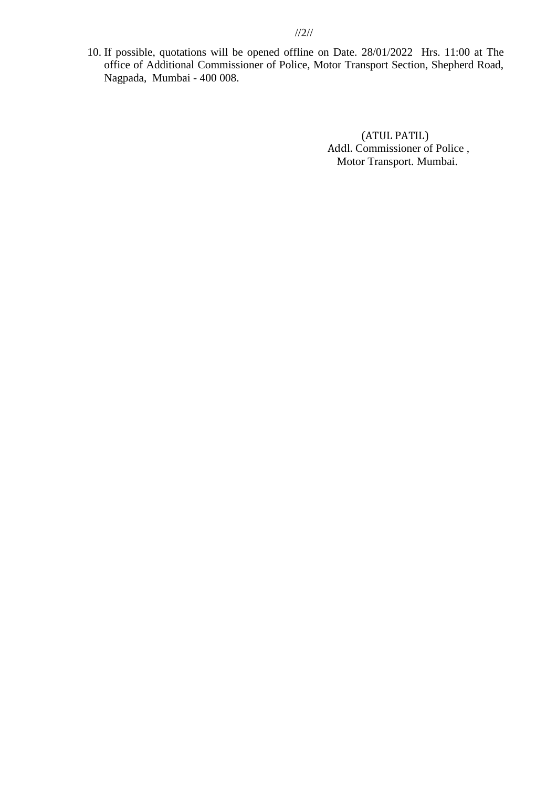10. If possible, quotations will be opened offline on Date. 28/01/2022 Hrs. 11:00 at The office of Additional Commissioner of Police, Motor Transport Section, Shepherd Road, Nagpada, Mumbai - 400 008.

> (ATUL PATIL) Addl. Commissioner of Police , Motor Transport. Mumbai.